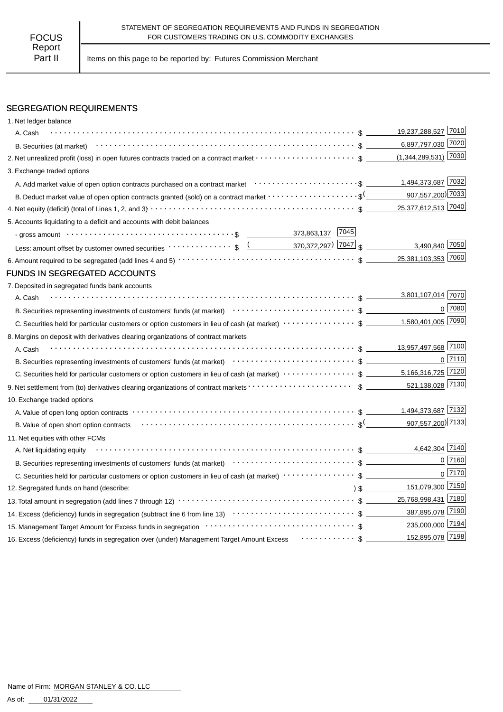Part II | Items on this page to be reported by: Futures Commission Merchant

# SEGREGATION REQUIREMENTS

| 1. Net ledger balance                                                                                                                                                                                                             |                     |              |
|-----------------------------------------------------------------------------------------------------------------------------------------------------------------------------------------------------------------------------------|---------------------|--------------|
| A. Cash                                                                                                                                                                                                                           | 19,237,288,527 7010 |              |
| B. Securities (at market) $\cdots$ $\cdots$ $\cdots$ $\cdots$ $\cdots$ $\cdots$ $\cdots$ $\cdots$ $\cdots$ $\cdots$ $\cdots$ $\cdots$ $\cdots$ $\cdots$ $\cdots$ $\cdots$                                                         | 6,897,797,030 7020  |              |
|                                                                                                                                                                                                                                   |                     |              |
| 3. Exchange traded options                                                                                                                                                                                                        |                     |              |
| A. Add market value of open option contracts purchased on a contract market enterative content contents and a                                                                                                                     | 1,494,373,687 7032  |              |
| B. Deduct market value of open option contracts granted (sold) on a contract market $\cdots\cdots\cdots\cdots\cdots\cdots$                                                                                                        | 907,557,200) 7033   |              |
|                                                                                                                                                                                                                                   | 25,377,612,513 7040 |              |
| 5. Accounts liquidating to a deficit and accounts with debit balances                                                                                                                                                             |                     |              |
|                                                                                                                                                                                                                                   |                     |              |
|                                                                                                                                                                                                                                   | 3,490,840 7050      |              |
|                                                                                                                                                                                                                                   | 25,381,103,353 7060 |              |
| FUNDS IN SEGREGATED ACCOUNTS                                                                                                                                                                                                      |                     |              |
| 7. Deposited in segregated funds bank accounts                                                                                                                                                                                    |                     |              |
| A. Cash                                                                                                                                                                                                                           | 3,801,107,014 7070  |              |
|                                                                                                                                                                                                                                   |                     | $0$ 7080     |
|                                                                                                                                                                                                                                   | 1,580,401,005 7090  |              |
| 8. Margins on deposit with derivatives clearing organizations of contract markets                                                                                                                                                 |                     |              |
| A. Cash                                                                                                                                                                                                                           | 13,957,497,568 7100 |              |
|                                                                                                                                                                                                                                   |                     | $0$   $7110$ |
|                                                                                                                                                                                                                                   |                     |              |
|                                                                                                                                                                                                                                   |                     |              |
| 10. Exchange traded options                                                                                                                                                                                                       |                     |              |
|                                                                                                                                                                                                                                   |                     |              |
| B. Value of open short option contracts $\cdots \cdots \cdots \cdots \cdots \cdots \cdots \cdots \cdots \cdots \cdots \cdots \cdots$                                                                                              | 907,557,200) 7133   |              |
| 11. Net equities with other FCMs                                                                                                                                                                                                  |                     |              |
| A. Net liquidating equity                                                                                                                                                                                                         | 4,642,304 7140      |              |
| B. Securities representing investments of customers' funds (at market)<br>etal market<br>subsections contained the context of customers' funds (at market)<br>Theorem contains the context of the context of the context of the c |                     | 0 7160       |
| C. Securities held for particular customers or option customers in lieu of cash (at market) ···················\$                                                                                                                 |                     | $0$ 7170     |
| $\sqrt{2}$ $\sqrt{2}$<br>12. Segregated funds on hand (describe:                                                                                                                                                                  | 151,079,300 7150    |              |
|                                                                                                                                                                                                                                   | 25,768,998,431 7180 |              |
|                                                                                                                                                                                                                                   | 387,895,078 7190    |              |
|                                                                                                                                                                                                                                   | 235,000,000 7194    |              |
| 16. Excess (deficiency) funds in segregation over (under) Management Target Amount Excess  \$                                                                                                                                     | 152,895,078 7198    |              |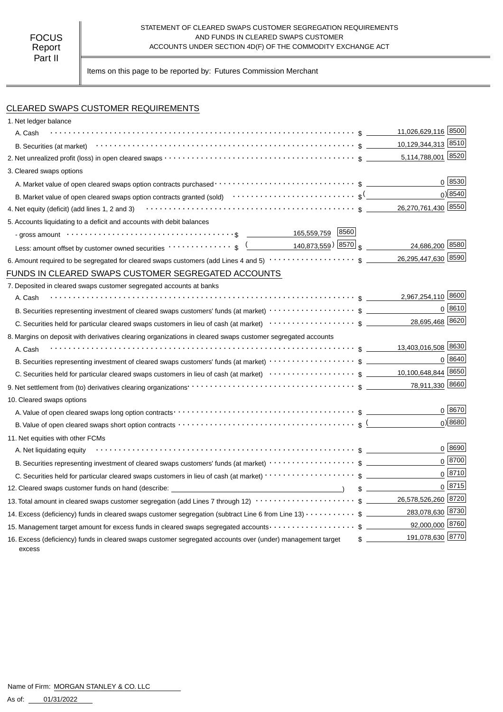#### STATEMENT OF CLEARED SWAPS CUSTOMER SEGREGATION REQUIREMENTS AND FUNDS IN CLEARED SWAPS CUSTOMER ACCOUNTS UNDER SECTION 4D(F) OF THE COMMODITY EXCHANGE ACT

Items on this page to be reported by: Futures Commission Merchant

# CLEARED SWAPS CUSTOMER REQUIREMENTS

| 1. Net ledger balance                                                                                                                                                                                                          |                       |
|--------------------------------------------------------------------------------------------------------------------------------------------------------------------------------------------------------------------------------|-----------------------|
| A. Cash                                                                                                                                                                                                                        | 11,026,629,116 8500   |
|                                                                                                                                                                                                                                | 10,129,344,313 8510   |
|                                                                                                                                                                                                                                |                       |
| 3. Cleared swaps options                                                                                                                                                                                                       |                       |
|                                                                                                                                                                                                                                | 0 8530                |
| B. Market value of open cleared swaps option contracts granted (sold) $\cdots\cdots\cdots\cdots\cdots\cdots\cdots\cdots$                                                                                                       | 0) 8540               |
| 4. Net equity (deficit) (add lines 1, 2 and 3) $\cdots$ $\cdots$ $\cdots$ $\cdots$ $\cdots$ $\cdots$ $\cdots$ $\cdots$ $\cdots$ $\cdots$ $\cdots$ $\cdots$ $\cdots$ $\cdots$ $\cdots$                                          | 26,270,761,430 8550   |
| 5. Accounts liquidating to a deficit and accounts with debit balances                                                                                                                                                          |                       |
| - gross amount \\contract \\contract \\contract \\contract \\contract \\contract \\contract \\contract \\contract \\contract \\contract \\contract \\contract \\contract \\contract \\contract \\contract \\contract \\contrac |                       |
| Less: amount offset by customer owned securities $\cdots \cdots \cdots$ ; $\frac{($ 140,873,559) 8570 $\frac{1}{3}$                                                                                                            | 24,686,200 8580       |
|                                                                                                                                                                                                                                |                       |
| FUNDS IN CLEARED SWAPS CUSTOMER SEGREGATED ACCOUNTS                                                                                                                                                                            |                       |
| 7. Deposited in cleared swaps customer segregated accounts at banks                                                                                                                                                            |                       |
| A. Cash                                                                                                                                                                                                                        | 2,967,254,110 8600    |
| B. Securities representing investment of cleared swaps customers' funds (at market) $\cdots\cdots\cdots\cdots\cdots\cdots$ \$                                                                                                  | $0^{8610}$            |
|                                                                                                                                                                                                                                | 28,695,468 8620       |
| 8. Margins on deposit with derivatives clearing organizations in cleared swaps customer segregated accounts                                                                                                                    |                       |
| A. Cash                                                                                                                                                                                                                        |                       |
| B. Securities representing investment of cleared swaps customers' funds (at market) $\cdots\cdots\cdots\cdots\cdots$ \$                                                                                                        | 0 8640                |
| C. Securities held for particular cleared swaps customers in lieu of cash (at market) $\cdots \cdots \cdots \cdots \cdots$ \$ __________ 10,100,648,844 8650                                                                   |                       |
|                                                                                                                                                                                                                                | 78,911,330 8660       |
| 10. Cleared swaps options                                                                                                                                                                                                      |                       |
|                                                                                                                                                                                                                                | $0^{8670}$            |
|                                                                                                                                                                                                                                | 0)8680                |
| 11. Net equities with other FCMs                                                                                                                                                                                               |                       |
| A. Net liquidating equity                                                                                                                                                                                                      | $0^{8690}$            |
| B. Securities representing investment of cleared swaps customers' funds (at market) $\cdots\cdots\cdots\cdots\cdots$ \$                                                                                                        | $0^{8700}$            |
| C. Securities held for particular cleared swaps customers in lieu of cash (at market) · · · · · · · · · · · · · · · · · · \$                                                                                                   | $0^{8710}$            |
| 12. Cleared swaps customer funds on hand (describe: _____________________________                                                                                                                                              | 0 8715                |
| 13. Total amount in cleared swaps customer segregation (add Lines 7 through 12) $\cdots\cdots\cdots\cdots\cdots\cdots\cdots\quad$ \$ _______ 26,578,526,260 8720                                                               |                       |
| 14. Excess (deficiency) funds in cleared swaps customer segregation (subtract Line 6 from Line 13) \$                                                                                                                          | 283,078,630 8730      |
| 15. Management target amount for excess funds in cleared swaps segregated accounts $\cdots\cdots\cdots\cdots\cdots\quad$ \$ ____________92,000,000 8760                                                                        |                       |
| 16. Excess (deficiency) funds in cleared swaps customer segregated accounts over (under) management target<br>excess                                                                                                           | 191,078,630 8770<br>s |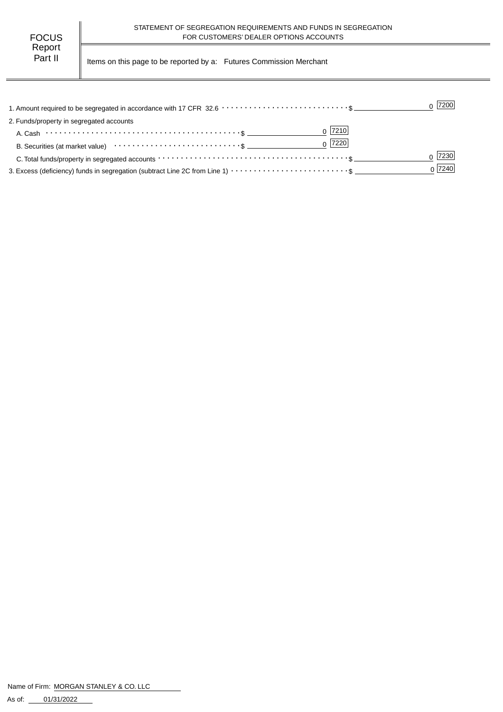Part II | Items on this page to be reported by a: Futures Commission Merchant

|                                                                                                                | $0$  7200 |
|----------------------------------------------------------------------------------------------------------------|-----------|
| 2. Funds/property in segregated accounts                                                                       |           |
| $0$  7210                                                                                                      |           |
| $0$  7220 <br>B. Securities (at market value) $\cdots \cdots \cdots \cdots \cdots \cdots \cdots \cdots \cdots$ |           |
|                                                                                                                | 7230      |
|                                                                                                                | 0 7240    |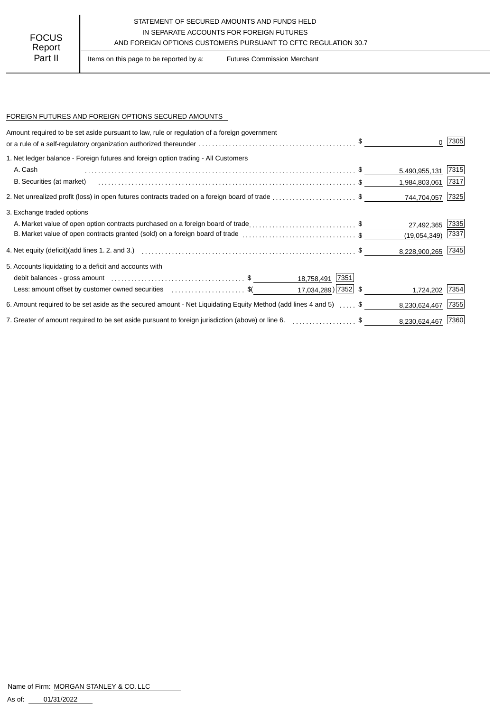## STATEMENT OF SECURED AMOUNTS AND FUNDS HELD IN SEPARATE ACCOUNTS FOR FOREIGN FUTURES AND FOREIGN OPTIONS CUSTOMERS PURSUANT TO CFTC REGULATION 30.7

Part II | Items on this page to be reported by a: Futures Commission Merchant

### FOREIGN FUTURES AND FOREIGN OPTIONS SECURED AMOUNTS

| Amount required to be set aside pursuant to law, rule or regulation of a foreign government                      |                    |                  |
|------------------------------------------------------------------------------------------------------------------|--------------------|------------------|
|                                                                                                                  |                    | 7305             |
| 1. Net ledger balance - Foreign futures and foreign option trading - All Customers                               |                    |                  |
| A. Cash                                                                                                          | 5,490,955,131      | 7315             |
| B. Securities (at market)                                                                                        | 1,984,803,061 7317 |                  |
| 2. Net unrealized profit (loss) in open futures contracts traded on a foreign board of trade \$                  |                    | 744,704,057 7325 |
| 3. Exchange traded options                                                                                       |                    |                  |
| A. Market value of open option contracts purchased on a foreign board of trade\$                                 | 27,492,365         | 7335             |
| B. Market value of open contracts granted (sold) on a foreign board of trade \$                                  | (19,054,349)       | 7337             |
|                                                                                                                  | 8,228,900,265 7345 |                  |
| 5. Accounts liquidating to a deficit and accounts with                                                           |                    |                  |
| 18,758,491 7351                                                                                                  |                    |                  |
| 17,034,289) 7352 \$<br>Less: amount offset by customer owned securities \$ (\$                                   |                    | 1,724,202 7354   |
| 6. Amount required to be set aside as the secured amount - Net Liquidating Equity Method (add lines 4 and 5)  \$ | 8,230,624,467      | 7355             |
| 7. Greater of amount required to be set aside pursuant to foreign jurisdiction (above) or line 6. \$             | 8,230,624,467 7360 |                  |